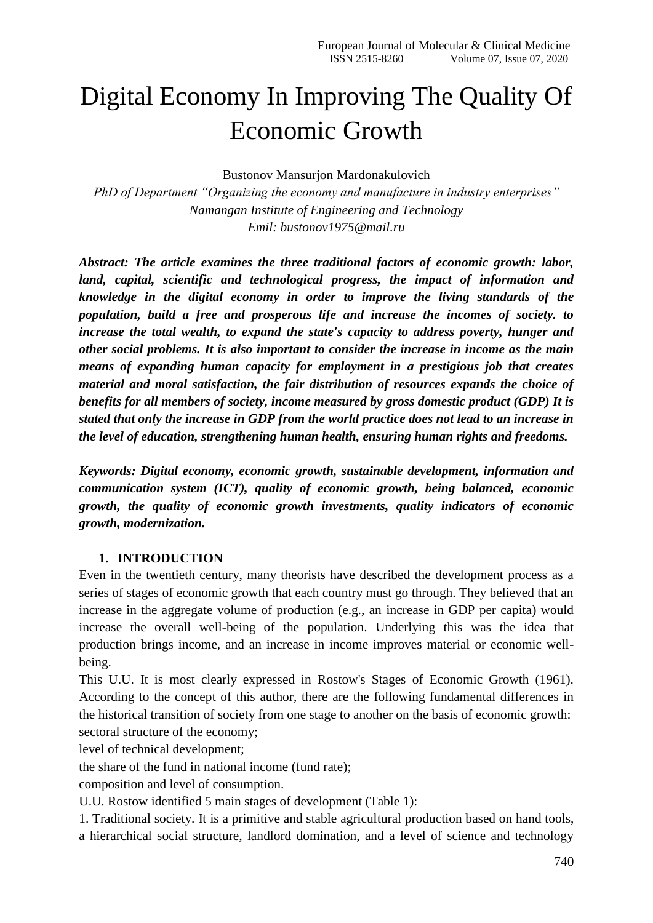# Digital Economy In Improving The Quality Of Economic Growth

Bustonov Mansurjon Mardonakulovich

*PhD of Department "Organizing the economy and manufacture in industry enterprises" Namangan Institute of Engineering and Technology Emil: [bustonov1975@mail.ru](mailto:bustonov1975@mail.ru)*

*Abstract: The article examines the three traditional factors of economic growth: labor, land, capital, scientific and technological progress, the impact of information and knowledge in the digital economy in order to improve the living standards of the population, build a free and prosperous life and increase the incomes of society. to increase the total wealth, to expand the state's capacity to address poverty, hunger and other social problems. It is also important to consider the increase in income as the main means of expanding human capacity for employment in a prestigious job that creates material and moral satisfaction, the fair distribution of resources expands the choice of benefits for all members of society, income measured by gross domestic product (GDP) It is stated that only the increase in GDP from the world practice does not lead to an increase in the level of education, strengthening human health, ensuring human rights and freedoms.*

*Keywords: Digital economy, economic growth, sustainable development, information and communication system (ICT), quality of economic growth, being balanced, economic growth, the quality of economic growth investments, quality indicators of economic growth, modernization.*

#### **1. INTRODUCTION**

Even in the twentieth century, many theorists have described the development process as a series of stages of economic growth that each country must go through. They believed that an increase in the aggregate volume of production (e.g., an increase in GDP per capita) would increase the overall well-being of the population. Underlying this was the idea that production brings income, and an increase in income improves material or economic wellbeing.

This U.U. It is most clearly expressed in Rostow's Stages of Economic Growth (1961). According to the concept of this author, there are the following fundamental differences in the historical transition of society from one stage to another on the basis of economic growth: sectoral structure of the economy;

level of technical development;

the share of the fund in national income (fund rate);

composition and level of consumption.

U.U. Rostow identified 5 main stages of development (Table 1):

1. Traditional society. It is a primitive and stable agricultural production based on hand tools, a hierarchical social structure, landlord domination, and a level of science and technology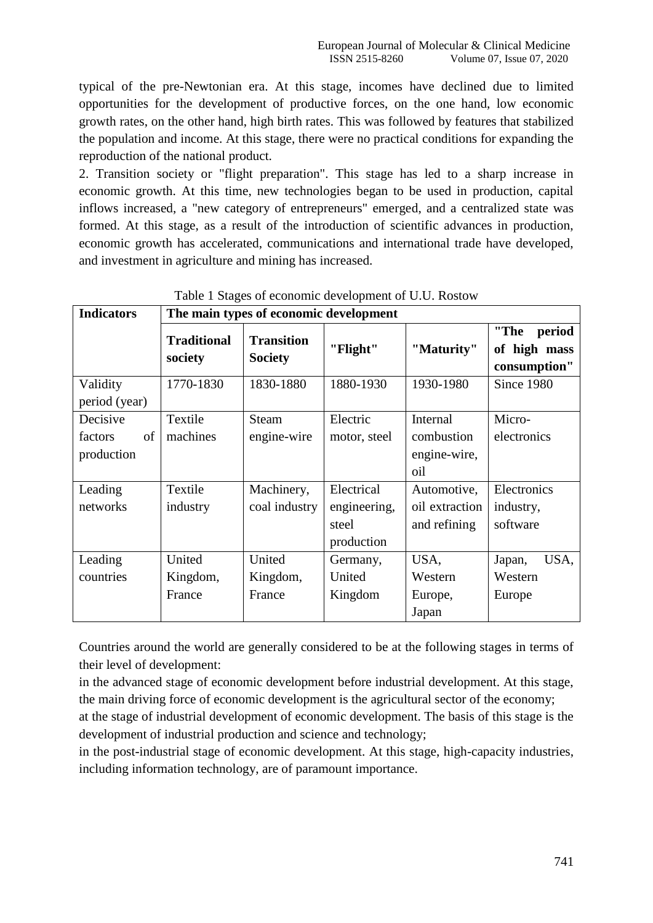typical of the pre-Newtonian era. At this stage, incomes have declined due to limited opportunities for the development of productive forces, on the one hand, low economic growth rates, on the other hand, high birth rates. This was followed by features that stabilized the population and income. At this stage, there were no practical conditions for expanding the reproduction of the national product.

2. Transition society or "flight preparation". This stage has led to a sharp increase in economic growth. At this time, new technologies began to be used in production, capital inflows increased, a "new category of entrepreneurs" emerged, and a centralized state was formed. At this stage, as a result of the introduction of scientific advances in production, economic growth has accelerated, communications and international trade have developed, and investment in agriculture and mining has increased.

| <b>Indicators</b> | The main types of economic development |                                     |              |                |                                                |
|-------------------|----------------------------------------|-------------------------------------|--------------|----------------|------------------------------------------------|
|                   | <b>Traditional</b><br>society          | <b>Transition</b><br><b>Society</b> | "Flight"     | "Maturity"     | "The<br>period<br>of high mass<br>consumption" |
| Validity          | 1770-1830                              | 1830-1880                           | 1880-1930    | 1930-1980      | Since 1980                                     |
| period (year)     |                                        |                                     |              |                |                                                |
| Decisive          | Textile                                | <b>Steam</b>                        | Electric     | Internal       | Micro-                                         |
| of<br>factors     | machines                               | engine-wire                         | motor, steel | combustion     | electronics                                    |
| production        |                                        |                                     |              | engine-wire,   |                                                |
|                   |                                        |                                     |              | oil            |                                                |
| Leading           | Textile                                | Machinery,                          | Electrical   | Automotive,    | Electronics                                    |
| networks          | industry                               | coal industry                       | engineering, | oil extraction | industry,                                      |
|                   |                                        |                                     | steel        | and refining   | software                                       |
|                   |                                        |                                     | production   |                |                                                |
| Leading           | United                                 | United                              | Germany,     | USA,           | USA,<br>Japan,                                 |
| countries         | Kingdom,                               | Kingdom,                            | United       | Western        | Western                                        |
|                   | France                                 | France                              | Kingdom      | Europe,        | Europe                                         |
|                   |                                        |                                     |              | Japan          |                                                |

# Table 1 Stages of economic development of U.U. Rostow

Countries around the world are generally considered to be at the following stages in terms of their level of development:

in the advanced stage of economic development before industrial development. At this stage, the main driving force of economic development is the agricultural sector of the economy; at the stage of industrial development of economic development. The basis of this stage is the

development of industrial production and science and technology;

in the post-industrial stage of economic development. At this stage, high-capacity industries, including information technology, are of paramount importance.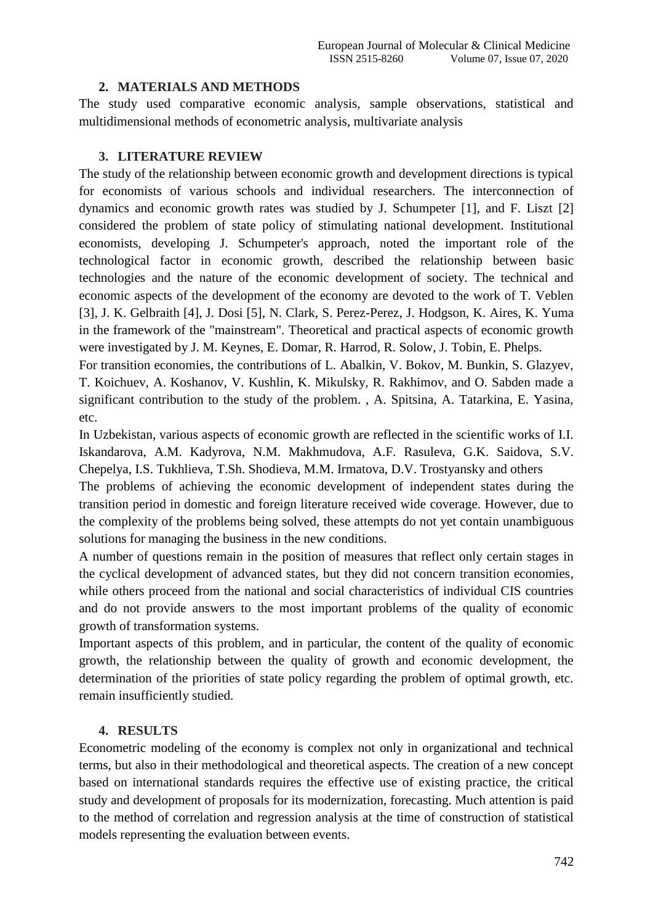#### **2. MATERIALS AND METHODS**

The study used comparative economic analysis, sample observations, statistical and multidimensional methods of econometric analysis, multivariate analysis

#### **3. LITERATURE REVIEW**

The study of the relationship between economic growth and development directions is typical for economists of various schools and individual researchers. The interconnection of dynamics and economic growth rates was studied by J. Schumpeter [1], and F. Liszt [2] considered the problem of state policy of stimulating national development. Institutional economists, developing J. Schumpeter's approach, noted the important role of the technological factor in economic growth, described the relationship between basic technologies and the nature of the economic development of society. The technical and economic aspects of the development of the economy are devoted to the work of T. Veblen [3], J. K. Gelbraith [4], J. Dosi [5], N. Clark, S. Perez-Perez, J. Hodgson, K. Aires, K. Yuma in the framework of the "mainstream". Theoretical and practical aspects of economic growth were investigated by J. M. Keynes, E. Domar, R. Harrod, R. Solow, J. Tobin, E. Phelps.

For transition economies, the contributions of L. Abalkin, V. Bokov, M. Bunkin, S. Glazyev, T. Koichuev, A. Koshanov, V. Kushlin, K. Mikulsky, R. Rakhimov, and O. Sabden made a significant contribution to the study of the problem. , A. Spitsina, A. Tatarkina, E. Yasina, etc.

In Uzbekistan, various aspects of economic growth are reflected in the scientific works of I.I. Iskandarova, A.M. Kadyrova, N.M. Makhmudova, A.F. Rasuleva, G.K. Saidova, S.V. Chepelya, I.S. Tukhlieva, T.Sh. Shodieva, M.M. Irmatova, D.V. Trostyansky and others

The problems of achieving the economic development of independent states during the transition period in domestic and foreign literature received wide coverage. However, due to the complexity of the problems being solved, these attempts do not yet contain unambiguous solutions for managing the business in the new conditions.

A number of questions remain in the position of measures that reflect only certain stages in the cyclical development of advanced states, but they did not concern transition economies, while others proceed from the national and social characteristics of individual CIS countries and do not provide answers to the most important problems of the quality of economic growth of transformation systems.

Important aspects of this problem, and in particular, the content of the quality of economic growth, the relationship between the quality of growth and economic development, the determination of the priorities of state policy regarding the problem of optimal growth, etc. remain insufficiently studied.

# **4. RESULTS**

Econometric modeling of the economy is complex not only in organizational and technical terms, but also in their methodological and theoretical aspects. The creation of a new concept based on international standards requires the effective use of existing practice, the critical study and development of proposals for its modernization, forecasting. Much attention is paid to the method of correlation and regression analysis at the time of construction of statistical models representing the evaluation between events.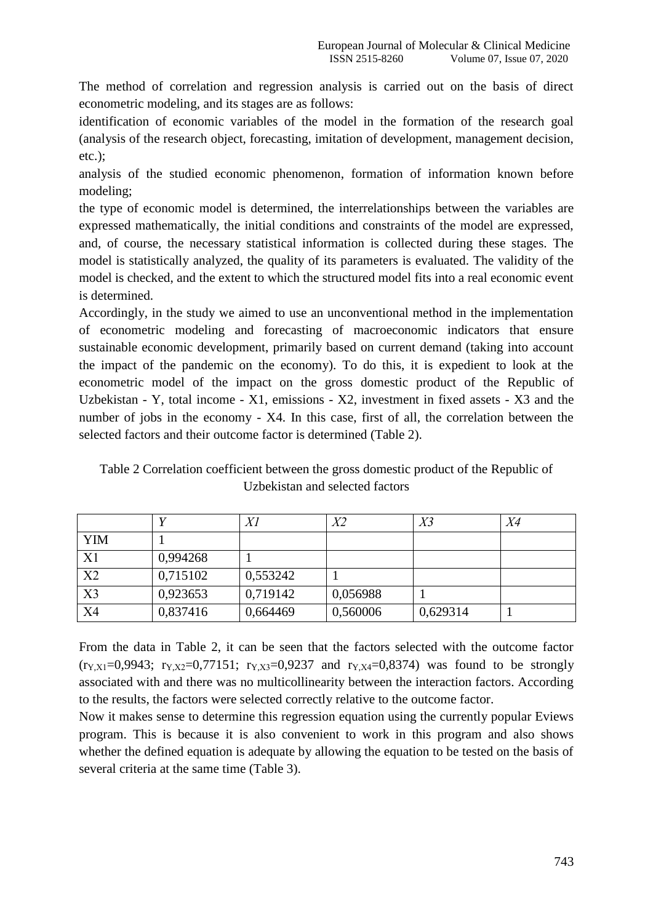The method of correlation and regression analysis is carried out on the basis of direct econometric modeling, and its stages are as follows:

identification of economic variables of the model in the formation of the research goal (analysis of the research object, forecasting, imitation of development, management decision, etc.);

analysis of the studied economic phenomenon, formation of information known before modeling;

the type of economic model is determined, the interrelationships between the variables are expressed mathematically, the initial conditions and constraints of the model are expressed, and, of course, the necessary statistical information is collected during these stages. The model is statistically analyzed, the quality of its parameters is evaluated. The validity of the model is checked, and the extent to which the structured model fits into a real economic event is determined.

Accordingly, in the study we aimed to use an unconventional method in the implementation of econometric modeling and forecasting of macroeconomic indicators that ensure sustainable economic development, primarily based on current demand (taking into account the impact of the pandemic on the economy). To do this, it is expedient to look at the econometric model of the impact on the gross domestic product of the Republic of Uzbekistan - Y, total income - X1, emissions - X2, investment in fixed assets - X3 and the number of jobs in the economy - X4. In this case, first of all, the correlation between the selected factors and their outcome factor is determined (Table 2).

Table 2 Correlation coefficient between the gross domestic product of the Republic of Uzbekistan and selected factors

|                |          | Χl       | X2       | X3       | X4 |
|----------------|----------|----------|----------|----------|----|
| <b>YIM</b>     |          |          |          |          |    |
| X1             | 0,994268 |          |          |          |    |
| X <sub>2</sub> | 0,715102 | 0,553242 |          |          |    |
| X <sub>3</sub> | 0,923653 | 0,719142 | 0,056988 |          |    |
| X4             | 0,837416 | 0,664469 | 0,560006 | 0,629314 |    |

From the data in Table 2, it can be seen that the factors selected with the outcome factor  $(r_{Y,X1}=0.9943; r_{Y,X2}=0.77151; r_{Y,X3}=0.9237$  and  $r_{Y,X4}=0.8374$  was found to be strongly associated with and there was no multicollinearity between the interaction factors. According to the results, the factors were selected correctly relative to the outcome factor.

Now it makes sense to determine this regression equation using the currently popular Eviews program. This is because it is also convenient to work in this program and also shows whether the defined equation is adequate by allowing the equation to be tested on the basis of several criteria at the same time (Table 3).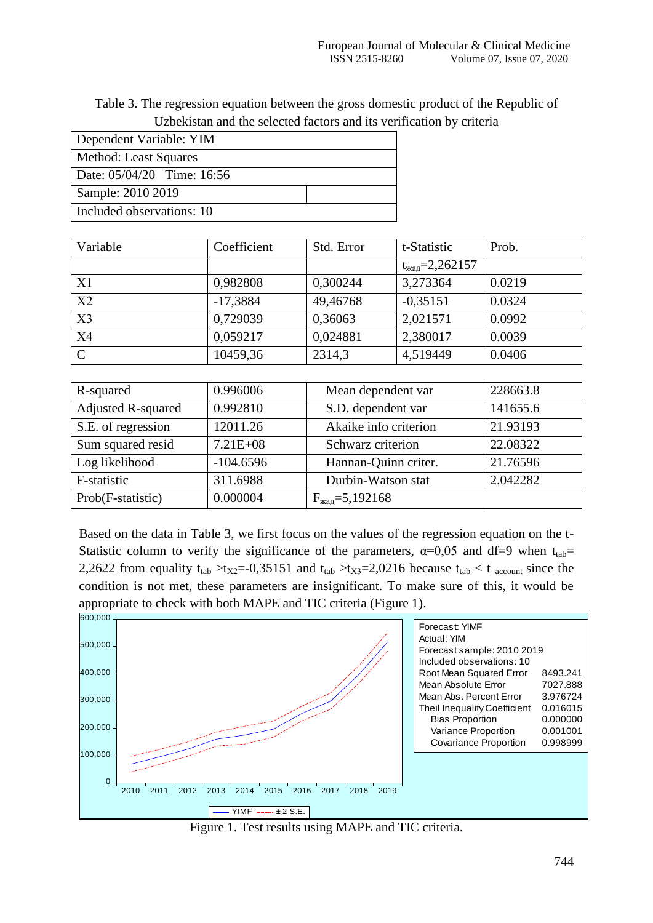| Table 3. The regression equation between the gross domestic product of the Republic of |  |
|----------------------------------------------------------------------------------------|--|
| Uzbekistan and the selected factors and its verification by criteria                   |  |

| Dependent Variable: YIM      |  |  |  |  |
|------------------------------|--|--|--|--|
| Method: Least Squares        |  |  |  |  |
| Date: $05/04/20$ Time: 16:56 |  |  |  |  |
| Sample: 2010 2019            |  |  |  |  |
| Included observations: 10    |  |  |  |  |

| Variable    | Coefficient | Std. Error | t-Statistic                 | Prob.  |
|-------------|-------------|------------|-----------------------------|--------|
|             |             |            | $t_{\text{waq}} = 2,262157$ |        |
| X1          | 0,982808    | 0,300244   | 3,273364                    | 0.0219 |
| X2          | $-17,3884$  | 49,46768   | $-0,35151$                  | 0.0324 |
| X3          | 0,729039    | 0,36063    | 2,021571                    | 0.0992 |
| X4          | 0,059217    | 0,024881   | 2,380017                    | 0.0039 |
| $\mathbf C$ | 10459,36    | 2314,3     | 4,519449                    | 0.0406 |

| R-squared                 | 0.996006     | Mean dependent var          | 228663.8 |
|---------------------------|--------------|-----------------------------|----------|
| <b>Adjusted R-squared</b> | 0.992810     | S.D. dependent var          | 141655.6 |
| S.E. of regression        | 12011.26     | Akaike info criterion       | 21.93193 |
| Sum squared resid         | $7.21E + 08$ | Schwarz criterion           | 22.08322 |
| Log likelihood            | $-104.6596$  | Hannan-Quinn criter.        | 21.76596 |
| F-statistic               | 311.6988     | Durbin-Watson stat          | 2.042282 |
| Prob(F-statistic)         | 0.000004     | $F_{\text{waq}} = 5,192168$ |          |

Based on the data in Table 3, we first focus on the values of the regression equation on the t-Statistic column to verify the significance of the parameters,  $\alpha=0.05$  and df=9 when t<sub>tab</sub>= 2,2622 from equality t<sub>tab</sub>  $>t_{X2}=-0.35151$  and t<sub>tab</sub>  $>t_{X3}=2.0216$  because t<sub>tab</sub>  $<$  t <sub>account</sub> since the condition is not met, these parameters are insignificant. To make sure of this, it would be appropriate to check with both MAPE and TIC criteria (Figure 1).



Figure 1. Test results using MAPE and TIC criteria.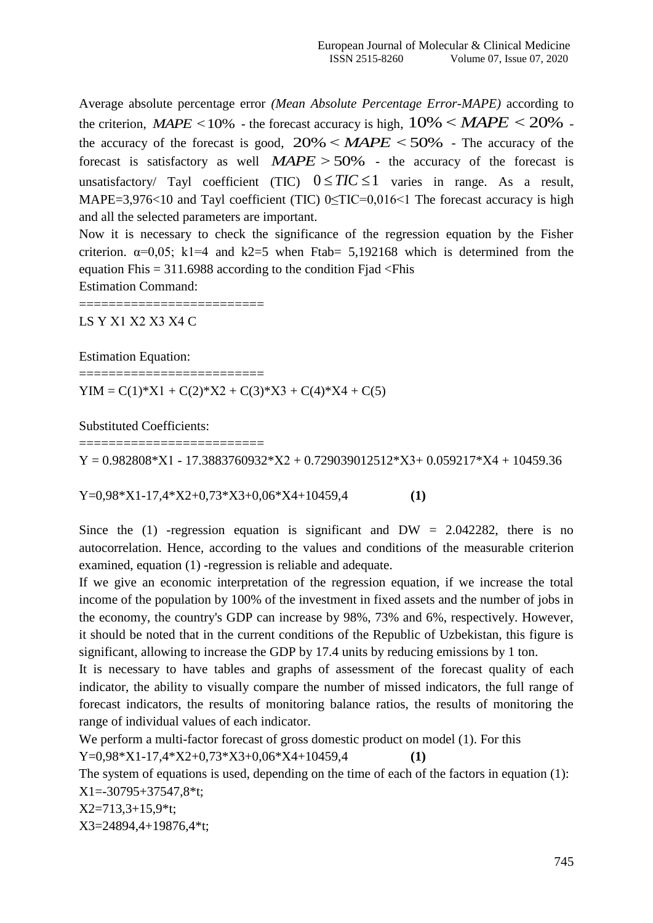Average absolute percentage error *(Mean Absolute Percentage Error-MAPE)* according to the criterion, *MAPE* <10% - the forecast accuracy is high,  $10\%$  < *MAPE* < 20% the accuracy of the forecast is good,  $20\% < M_{\odot} < 50\%$  - The accuracy of the forecast is satisfactory as well  $MAPE > 50\%$  - the accuracy of the forecast is unsatisfactory/ Tayl coefficient (TIC)  $0 \leq TIC \leq 1$  varies in range. As a result, MAPE=3,976<10 and Tayl coefficient (TIC) 0<TIC=0,016<1 The forecast accuracy is high and all the selected parameters are important.

Now it is necessary to check the significance of the regression equation by the Fisher criterion.  $\alpha=0.05$ ; k1=4 and k2=5 when Ftab= 5,192168 which is determined from the equation Fhis  $= 311.6988$  according to the condition Fjad  $\le$ Fhis

Estimation Command:

========================= LS Y Х1 Х2 Х3 Х4 C

Estimation Equation:

 $YIM = C(1)*X1 + C(2)*X2 + C(3)*X3 + C(4)*X4 + C(5)$ 

Substituted Coefficients:

==========================

==========================

 $Y = 0.982808*X1 - 17.3883760932*X2 + 0.729039012512*X3 + 0.059217*X4 + 10459.36$ 

Y=0,98\*X1-17,4\*X2+0,73\*X3+0,06\*X4+10459,4 **(1)**

Since the (1) -regression equation is significant and DW =  $2.042282$ , there is no autocorrelation. Hence, according to the values and conditions of the measurable criterion examined, equation (1) -regression is reliable and adequate.

If we give an economic interpretation of the regression equation, if we increase the total income of the population by 100% of the investment in fixed assets and the number of jobs in the economy, the country's GDP can increase by 98%, 73% and 6%, respectively. However, it should be noted that in the current conditions of the Republic of Uzbekistan, this figure is significant, allowing to increase the GDP by 17.4 units by reducing emissions by 1 ton.

It is necessary to have tables and graphs of assessment of the forecast quality of each indicator, the ability to visually compare the number of missed indicators, the full range of forecast indicators, the results of monitoring balance ratios, the results of monitoring the range of individual values of each indicator.

We perform a multi-factor forecast of gross domestic product on model (1). For this

Y=0,98\*X1-17,4\*X2+0,73\*X3+0,06\*X4+10459,4 **(1)**

The system of equations is used, depending on the time of each of the factors in equation (1): X1=-30795+37547,8\*t;

X2=713,3+15,9\*t;

X3=24894,4+19876,4\*t;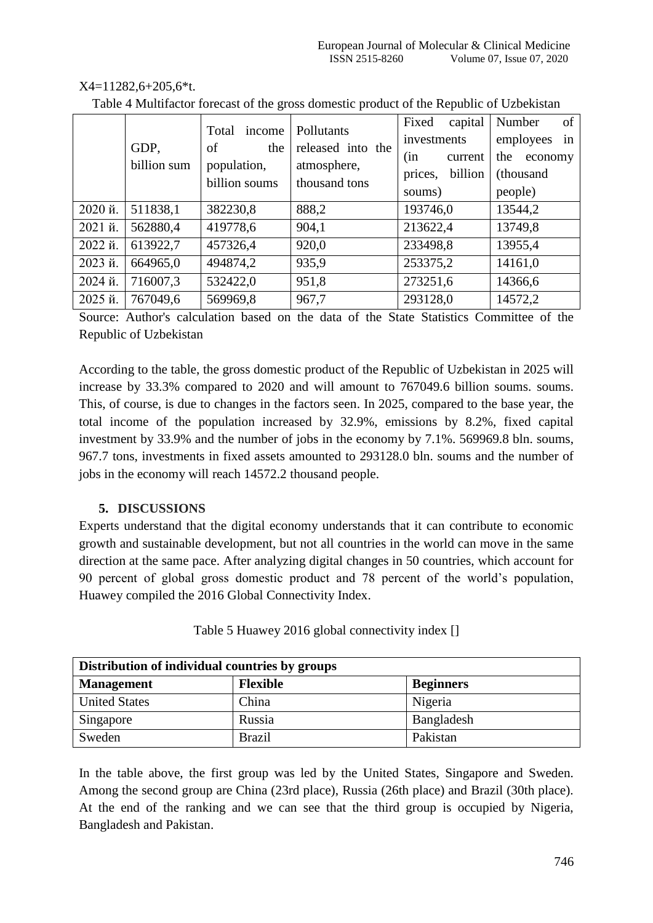#### X4=11282,6+205,6\*t.

|        | GDP,<br>billion sum | income<br>Total<br>of<br>the<br>population,<br>billion soums | Pollutants<br>released into the<br>atmosphere,<br>thousand tons | Fixed<br>capital<br>investments<br>(in<br>current<br>billion<br>prices,<br>soums) | Number<br>of<br>employees<br>in<br>the economy<br>(thousand<br>people) |
|--------|---------------------|--------------------------------------------------------------|-----------------------------------------------------------------|-----------------------------------------------------------------------------------|------------------------------------------------------------------------|
| 2020й. | 511838,1            | 382230,8                                                     | 888,2                                                           | 193746,0                                                                          | 13544,2                                                                |
| 2021й. | 562880,4            | 419778,6                                                     | 904,1                                                           | 213622,4                                                                          | 13749,8                                                                |
| 2022й. | 613922,7            | 457326,4                                                     | 920,0                                                           | 233498,8                                                                          | 13955,4                                                                |
| 2023й. | 664965,0            | 494874,2                                                     | 935,9                                                           | 253375,2                                                                          | 14161,0                                                                |
| 2024й. | 716007,3            | 532422,0                                                     | 951,8                                                           | 273251,6                                                                          | 14366,6                                                                |
| 2025й. | 767049,6            | 569969,8                                                     | 967,7                                                           | 293128,0                                                                          | 14572,2                                                                |

Table 4 Multifactor forecast of the gross domestic product of the Republic of Uzbekistan

Source: Author's calculation based on the data of the State Statistics Committee of the Republic of Uzbekistan

According to the table, the gross domestic product of the Republic of Uzbekistan in 2025 will increase by 33.3% compared to 2020 and will amount to 767049.6 billion soums. soums. This, of course, is due to changes in the factors seen. In 2025, compared to the base year, the total income of the population increased by 32.9%, emissions by 8.2%, fixed capital investment by 33.9% and the number of jobs in the economy by 7.1%. 569969.8 bln. soums, 967.7 tons, investments in fixed assets amounted to 293128.0 bln. soums and the number of jobs in the economy will reach 14572.2 thousand people.

# **5. DISCUSSIONS**

Experts understand that the digital economy understands that it can contribute to economic growth and sustainable development, but not all countries in the world can move in the same direction at the same pace. After analyzing digital changes in 50 countries, which account for 90 percent of global gross domestic product and 78 percent of the world's population, Huawey compiled the 2016 Global Connectivity Index.

| Table 5 Huawey 2016 global connectivity index [] |  |
|--------------------------------------------------|--|
|--------------------------------------------------|--|

| Distribution of individual countries by groups |                 |                  |  |  |
|------------------------------------------------|-----------------|------------------|--|--|
| <b>Management</b>                              | <b>Flexible</b> | <b>Beginners</b> |  |  |
| <b>United States</b>                           | China           | Nigeria          |  |  |
| Singapore                                      | Russia          | Bangladesh       |  |  |
| Sweden                                         | <b>Brazil</b>   | Pakistan         |  |  |

In the table above, the first group was led by the United States, Singapore and Sweden. Among the second group are China (23rd place), Russia (26th place) and Brazil (30th place). At the end of the ranking and we can see that the third group is occupied by Nigeria, Bangladesh and Pakistan.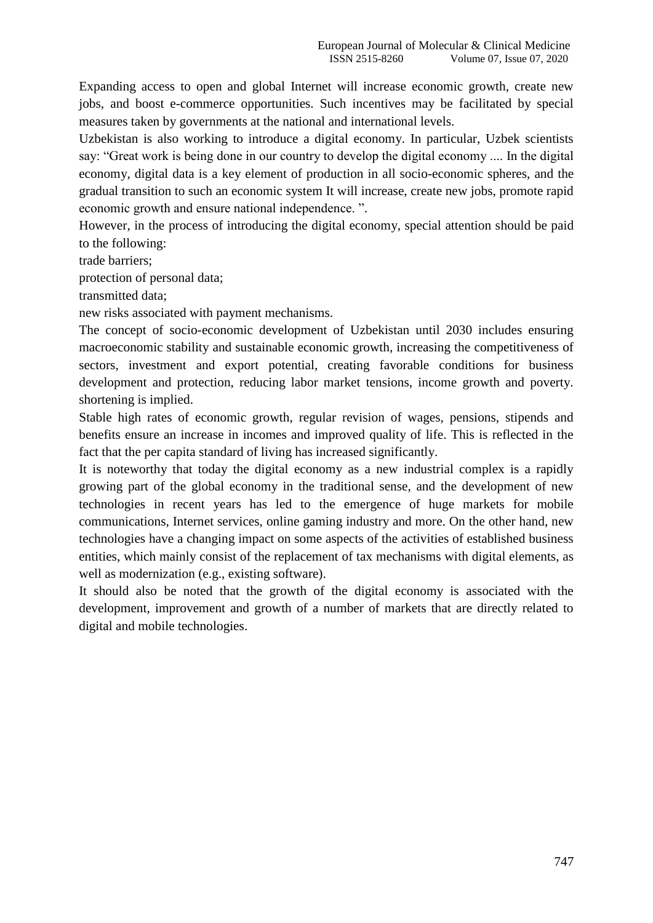Expanding access to open and global Internet will increase economic growth, create new jobs, and boost e-commerce opportunities. Such incentives may be facilitated by special measures taken by governments at the national and international levels.

Uzbekistan is also working to introduce a digital economy. In particular, Uzbek scientists say: "Great work is being done in our country to develop the digital economy .... In the digital economy, digital data is a key element of production in all socio-economic spheres, and the gradual transition to such an economic system It will increase, create new jobs, promote rapid economic growth and ensure national independence. ".

However, in the process of introducing the digital economy, special attention should be paid to the following:

trade barriers;

protection of personal data;

transmitted data;

new risks associated with payment mechanisms.

The concept of socio-economic development of Uzbekistan until 2030 includes ensuring macroeconomic stability and sustainable economic growth, increasing the competitiveness of sectors, investment and export potential, creating favorable conditions for business development and protection, reducing labor market tensions, income growth and poverty. shortening is implied.

Stable high rates of economic growth, regular revision of wages, pensions, stipends and benefits ensure an increase in incomes and improved quality of life. This is reflected in the fact that the per capita standard of living has increased significantly.

It is noteworthy that today the digital economy as a new industrial complex is a rapidly growing part of the global economy in the traditional sense, and the development of new technologies in recent years has led to the emergence of huge markets for mobile communications, Internet services, online gaming industry and more. On the other hand, new technologies have a changing impact on some aspects of the activities of established business entities, which mainly consist of the replacement of tax mechanisms with digital elements, as well as modernization (e.g., existing software).

It should also be noted that the growth of the digital economy is associated with the development, improvement and growth of a number of markets that are directly related to digital and mobile technologies.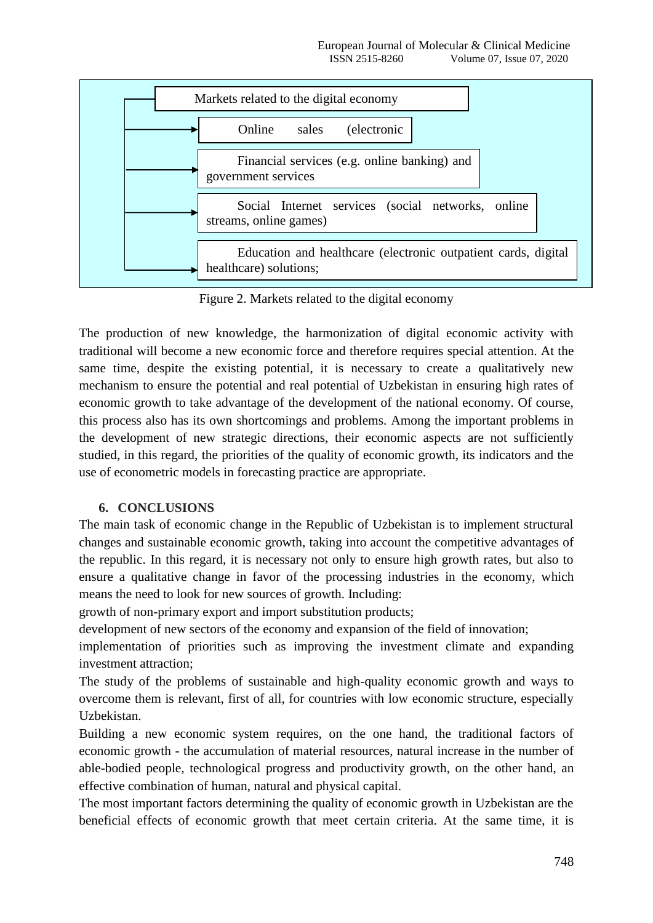

Figure 2. Markets related to the digital economy

The production of new knowledge, the harmonization of digital economic activity with traditional will become a new economic force and therefore requires special attention. At the same time, despite the existing potential, it is necessary to create a qualitatively new mechanism to ensure the potential and real potential of Uzbekistan in ensuring high rates of economic growth to take advantage of the development of the national economy. Of course, this process also has its own shortcomings and problems. Among the important problems in the development of new strategic directions, their economic aspects are not sufficiently studied, in this regard, the priorities of the quality of economic growth, its indicators and the use of econometric models in forecasting practice are appropriate.

# **6. CONCLUSIONS**

The main task of economic change in the Republic of Uzbekistan is to implement structural changes and sustainable economic growth, taking into account the competitive advantages of the republic. In this regard, it is necessary not only to ensure high growth rates, but also to ensure a qualitative change in favor of the processing industries in the economy, which means the need to look for new sources of growth. Including:

growth of non-primary export and import substitution products;

development of new sectors of the economy and expansion of the field of innovation;

implementation of priorities such as improving the investment climate and expanding investment attraction;

The study of the problems of sustainable and high-quality economic growth and ways to overcome them is relevant, first of all, for countries with low economic structure, especially Uzbekistan.

Building a new economic system requires, on the one hand, the traditional factors of economic growth - the accumulation of material resources, natural increase in the number of able-bodied people, technological progress and productivity growth, on the other hand, an effective combination of human, natural and physical capital.

The most important factors determining the quality of economic growth in Uzbekistan are the beneficial effects of economic growth that meet certain criteria. At the same time, it is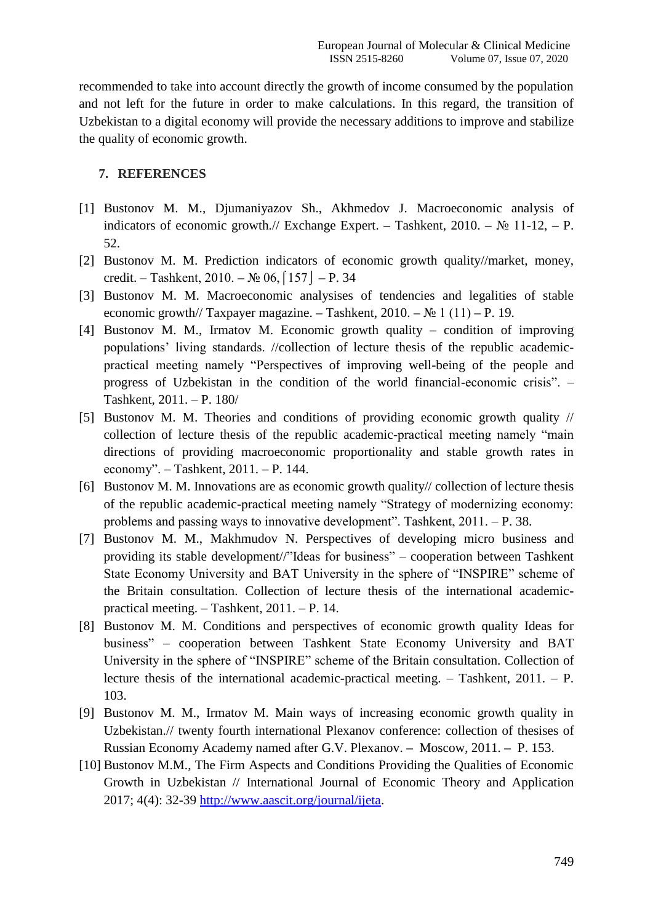recommended to take into account directly the growth of income consumed by the population and not left for the future in order to make calculations. In this regard, the transition of Uzbekistan to a digital economy will provide the necessary additions to improve and stabilize the quality of economic growth.

# **7. REFERENCES**

- [1] Bustonov M. M., Djumaniyazov Sh., Akhmedov J. Macroeconomic analysis of indicators of economic growth.// Exchange Expert. **–** Тashkent, 2010. **–** № 11-12, **–** P. 52.
- [2] Bustonov M. M. Prediction indicators of economic growth quality//market, money, credit. – Таshkent, 2010. **–** № 06,⌠157⌡ **–** P. 34
- [3] Bustonov M. M. Macroeconomic analysises of tendencies and legalities of stable economic growth// Taxpayer magazine. **–** Таshkent, 2010. **–** № 1 (11) **–** P. 19.
- [4] Bustonov M. M., Irmatov M. Economic growth quality condition of improving populations' living standards. //collection of lecture thesis of the republic academicpractical meeting namely "Perspectives of improving well-being of the people and progress of Uzbekistan in the condition of the world financial-economic crisis". – Tashkent, 2011. – P. 180/
- [5] Bustonov M. M. Theories and conditions of providing economic growth quality // collection of lecture thesis of the republic academic-practical meeting namely "main directions of providing macroeconomic proportionality and stable growth rates in economy". – Tashkent, 2011. – P. 144.
- [6] Bustonov M. M. Innovations are as economic growth quality// collection of lecture thesis of the republic academic-practical meeting namely "Strategy of modernizing economy: problems and passing ways to innovative development". Tashkent, 2011. – P. 38.
- [7] Bustonov M. M., Makhmudov N. Perspectives of developing micro business and providing its stable development//"Ideas for business" – cooperation between Tashkent State Economy University and BAT University in the sphere of "INSPIRE" scheme of the Britain consultation. Collection of lecture thesis of the international academicpractical meeting. – Tashkent, 2011. – P. 14.
- [8] Bustonov M. M. Conditions and perspectives of economic growth quality Ideas for business" – cooperation between Tashkent State Economy University and BAT University in the sphere of "INSPIRE" scheme of the Britain consultation. Collection of lecture thesis of the international academic-practical meeting. – Tashkent, 2011. – P. 103.
- [9] Bustonov M. M., Irmatov M. Main ways of increasing economic growth quality in Uzbekistan.// twenty fourth international Plexanov conference: collection of thesises of Russian Economy Academy named after G.V. Plexanov. **–** Moscow, 2011. **–** P. 153.
- [10] Bustonov M.M., The Firm Aspects and Conditions Providing the Qualities of Economic Growth in Uzbekistan // International Journal of Economic Theory and Application 2017; 4(4): 32-39 [http://www.aascit.org/journal/ijeta.](http://www.aascit.org/journal/ijeta)